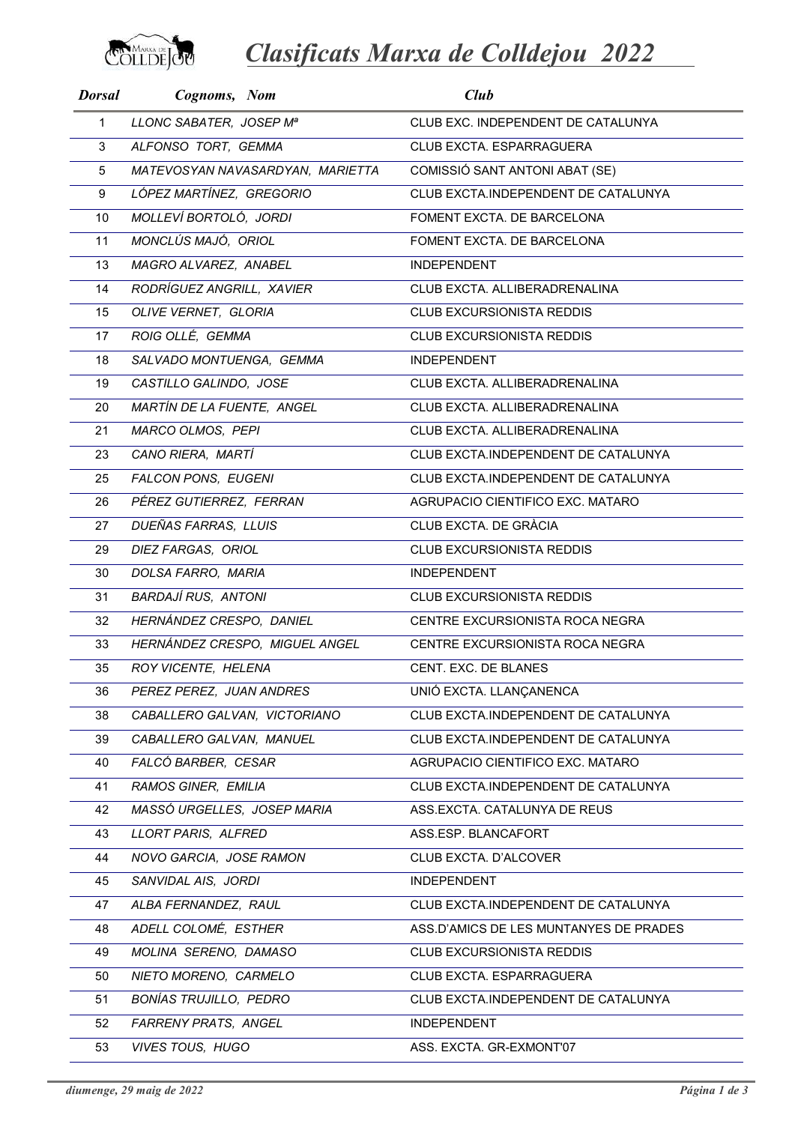

Clasificats Marxa de Colldejou 2022

| <b>Dorsal</b> | Cognoms, Nom                     | Club                                   |
|---------------|----------------------------------|----------------------------------------|
| $\mathbf{1}$  | LLONC SABATER, JOSEP Mª          | CLUB EXC. INDEPENDENT DE CATALUNYA     |
| 3             | ALFONSO TORT, GEMMA              | CLUB EXCTA. ESPARRAGUERA               |
| 5             | MATEVOSYAN NAVASARDYAN, MARIETTA | COMISSIÓ SANT ANTONI ABAT (SE)         |
| 9             | LÓPEZ MARTÍNEZ, GREGORIO         | CLUB EXCTA.INDEPENDENT DE CATALUNYA    |
| 10            | MOLLEVÍ BORTOLÓ, JORDI           | FOMENT EXCTA. DE BARCELONA             |
| 11            | MONCLÚS MAJÓ, ORIOL              | FOMENT EXCTA. DE BARCELONA             |
| 13            | MAGRO ALVAREZ, ANABEL            | <b>INDEPENDENT</b>                     |
| 14            | RODRÍGUEZ ANGRILL, XAVIER        | CLUB EXCTA, ALLIBERADRENALINA          |
| 15            | OLIVE VERNET, GLORIA             | <b>CLUB EXCURSIONISTA REDDIS</b>       |
| 17            | ROIG OLLÉ, GEMMA                 | <b>CLUB EXCURSIONISTA REDDIS</b>       |
| 18            | SALVADO MONTUENGA, GEMMA         | <b>INDEPENDENT</b>                     |
| 19            | CASTILLO GALINDO, JOSE           | CLUB EXCTA. ALLIBERADRENALINA          |
| 20            | MARTÍN DE LA FUENTE, ANGEL       | CLUB EXCTA. ALLIBERADRENALINA          |
| 21            | MARCO OLMOS, PEPI                | CLUB EXCTA. ALLIBERADRENALINA          |
| 23            | CANO RIERA, MARTÍ                | CLUB EXCTA.INDEPENDENT DE CATALUNYA    |
| 25            | FALCON PONS, EUGENI              | CLUB EXCTA.INDEPENDENT DE CATALUNYA    |
| 26            | PÉREZ GUTIERREZ, FERRAN          | AGRUPACIO CIENTIFICO EXC. MATARO       |
| 27            | DUEÑAS FARRAS, LLUIS             | CLUB EXCTA. DE GRÀCIA                  |
| 29            | DIEZ FARGAS, ORIOL               | CLUB EXCURSIONISTA REDDIS              |
| 30            | DOLSA FARRO, MARIA               | <b>INDEPENDENT</b>                     |
| 31            | <b>BARDAJÍ RUS, ANTONI</b>       | <b>CLUB EXCURSIONISTA REDDIS</b>       |
| 32            | HERNÁNDEZ CRESPO, DANIEL         | CENTRE EXCURSIONISTA ROCA NEGRA        |
| 33            | HERNÁNDEZ CRESPO, MIGUEL ANGEL   | CENTRE EXCURSIONISTA ROCA NEGRA        |
| 35            | ROY VICENTE, HELENA              | CENT. EXC. DE BLANES                   |
| 36            | PEREZ PEREZ, JUAN ANDRES         | UNIÓ EXCTA. LLANÇANENCA                |
| 38            | CABALLERO GALVAN, VICTORIANO     | CLUB EXCTA.INDEPENDENT DE CATALUNYA    |
| 39            | CABALLERO GALVAN, MANUEL         | CLUB EXCTA.INDEPENDENT DE CATALUNYA    |
| 40            | FALCÓ BARBER, CESAR              | AGRUPACIO CIENTIFICO EXC. MATARO       |
| 41            | RAMOS GINER, EMILIA              | CLUB EXCTA.INDEPENDENT DE CATALUNYA    |
| 42            | MASSÓ URGELLES, JOSEP MARIA      | ASS.EXCTA. CATALUNYA DE REUS           |
| 43            | LLORT PARIS, ALFRED              | ASS.ESP. BLANCAFORT                    |
| 44            | NOVO GARCIA, JOSE RAMON          | CLUB EXCTA. D'ALCOVER                  |
| 45            | SANVIDAL AIS, JORDI              | <b>INDEPENDENT</b>                     |
| 47            | ALBA FERNANDEZ, RAUL             | CLUB EXCTA.INDEPENDENT DE CATALUNYA    |
| 48            | ADELL COLOMÉ, ESTHER             | ASS.D'AMICS DE LES MUNTANYES DE PRADES |
| 49            | MOLINA SERENO, DAMASO            | <b>CLUB EXCURSIONISTA REDDIS</b>       |
| 50            | NIETO MORENO, CARMELO            | CLUB EXCTA. ESPARRAGUERA               |
| 51            | BONÍAS TRUJILLO, PEDRO           | CLUB EXCTA.INDEPENDENT DE CATALUNYA    |
| 52            | FARRENY PRATS, ANGEL             | <b>INDEPENDENT</b>                     |
| 53            | <b>VIVES TOUS, HUGO</b>          | ASS. EXCTA. GR-EXMONT'07               |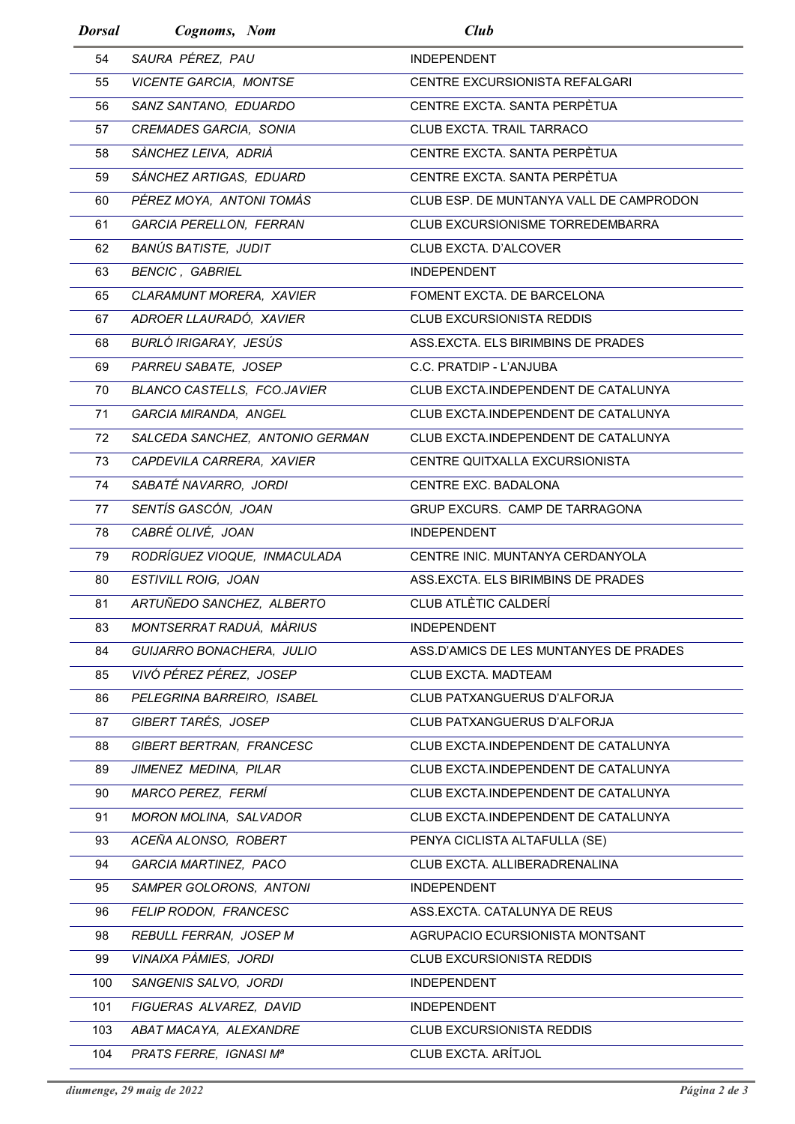| <b>Dorsal</b> | Cognoms, Nom                       | Club                                    |
|---------------|------------------------------------|-----------------------------------------|
| 54            | SAURA PÉREZ, PAU                   | <b>INDEPENDENT</b>                      |
| 55            | VICENTE GARCIA, MONTSE             | CENTRE EXCURSIONISTA REFALGARI          |
| 56            | SANZ SANTANO, EDUARDO              | CENTRE EXCTA, SANTA PERPÈTUA            |
| 57            | CREMADES GARCIA, SONIA             | CLUB EXCTA. TRAIL TARRACO               |
| 58            | SÀNCHEZ LEIVA, ADRIÀ               | CENTRE EXCTA. SANTA PERPÈTUA            |
| 59            | SÁNCHEZ ARTIGAS, EDUARD            | CENTRE EXCTA. SANTA PERPÈTUA            |
| 60            | PÉREZ MOYA, ANTONI TOMÀS           | CLUB ESP. DE MUNTANYA VALL DE CAMPRODON |
| 61            | GARCIA PERELLON, FERRAN            | CLUB EXCURSIONISME TORREDEMBARRA        |
| 62            | BANÚS BATISTE, JUDIT               | CLUB EXCTA, D'ALCOVER                   |
| 63            | <b>BENCIC, GABRIEL</b>             | <b>INDEPENDENT</b>                      |
| 65            | CLARAMUNT MORERA, XAVIER           | FOMENT EXCTA, DE BARCELONA              |
| 67            | ADROER LLAURADÓ, XAVIER            | <b>CLUB EXCURSIONISTA REDDIS</b>        |
| 68            | BURLÓ IRIGARAY, JESÚS              | ASS.EXCTA. ELS BIRIMBINS DE PRADES      |
| 69            | PARREU SABATE, JOSEP               | C.C. PRATDIP - L'ANJUBA                 |
| 70            | <b>BLANCO CASTELLS, FCO.JAVIER</b> | CLUB EXCTA.INDEPENDENT DE CATALUNYA     |
| 71            | GARCIA MIRANDA, ANGEL              | CLUB EXCTA.INDEPENDENT DE CATALUNYA     |
| 72            | SALCEDA SANCHEZ, ANTONIO GERMAN    | CLUB EXCTA.INDEPENDENT DE CATALUNYA     |
| 73            | CAPDEVILA CARRERA, XAVIER          | CENTRE QUITXALLA EXCURSIONISTA          |
| 74            | SABATÉ NAVARRO, JORDI              | <b>CENTRE EXC. BADALONA</b>             |
| 77            | SENTÍS GASCÓN, JOAN                | GRUP EXCURS. CAMP DE TARRAGONA          |
| 78            | CABRÉ OLIVÉ, JOAN                  | <b>INDEPENDENT</b>                      |
| 79            | RODRÍGUEZ VIOQUE, INMACULADA       | CENTRE INIC. MUNTANYA CERDANYOLA        |
| 80            | ESTIVILL ROIG, JOAN                | ASS.EXCTA. ELS BIRIMBINS DE PRADES      |
| 81            | ARTUÑEDO SANCHEZ, ALBERTO          | CLUB ATLÈTIC CALDERÍ                    |
| 83            | MONTSERRAT RADUA, MARIUS           | <b>INDEPENDENT</b>                      |
| 84            | GUIJARRO BONACHERA, JULIO          | ASS.D'AMICS DE LES MUNTANYES DE PRADES  |
| 85            | VIVÓ PÉREZ PÉREZ, JOSEP            | CLUB EXCTA. MADTEAM                     |
| 86            | PELEGRINA BARREIRO, ISABEL         | CLUB PATXANGUERUS D'ALFORJA             |
| 87            | GIBERT TARÉS, JOSEP                | CLUB PATXANGUERUS D'ALFORJA             |
| 88            | GIBERT BERTRAN, FRANCESC           | CLUB EXCTA.INDEPENDENT DE CATALUNYA     |
| 89            | JIMENEZ MEDINA, PILAR              | CLUB EXCTA.INDEPENDENT DE CATALUNYA     |
| 90            | <b>MARCO PEREZ, FERMÍ</b>          | CLUB EXCTA.INDEPENDENT DE CATALUNYA     |
| 91            | MORON MOLINA, SALVADOR             | CLUB EXCTA.INDEPENDENT DE CATALUNYA     |
| 93            | ACEÑA ALONSO, ROBERT               | PENYA CICLISTA ALTAFULLA (SE)           |
| 94            | GARCIA MARTINEZ, PACO              | CLUB EXCTA. ALLIBERADRENALINA           |
| 95            | <b>SAMPER GOLORONS, ANTONI</b>     | <b>INDEPENDENT</b>                      |
| 96            | FELIP RODON, FRANCESC              | ASS.EXCTA. CATALUNYA DE REUS            |
| 98            | REBULL FERRAN, JOSEP M             | AGRUPACIO ECURSIONISTA MONTSANT         |
| 99            | VINAIXA PÀMIES, JORDI              | <b>CLUB EXCURSIONISTA REDDIS</b>        |
| 100           | SANGENIS SALVO, JORDI              | <b>INDEPENDENT</b>                      |
| 101           | FIGUERAS ALVAREZ, DAVID            | <b>INDEPENDENT</b>                      |
| 103           | ABAT MACAYA, ALEXANDRE             | <b>CLUB EXCURSIONISTA REDDIS</b>        |
| 104           | PRATS FERRE, IGNASI Mª             | CLUB EXCTA. ARÍTJOL                     |